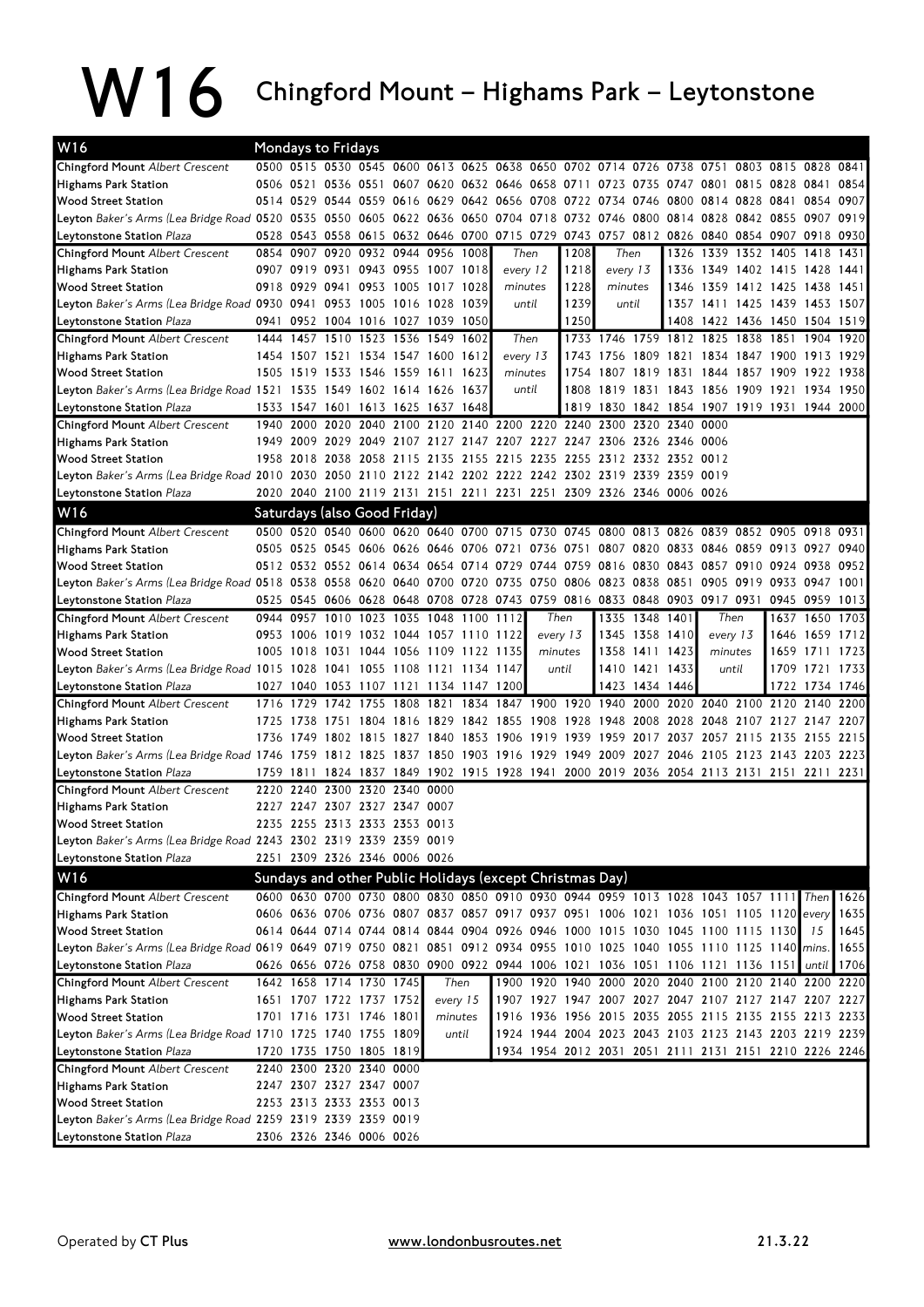## W16 Chingford Mount – Highams Park – Leytonstone

| W16                                                                                                                                       |      |           | <b>Mondays to Fridays</b>                    |                               |      |           |                     |          |                                                                       |      |                     |                |                |                                                                                                                  |  |                |              |
|-------------------------------------------------------------------------------------------------------------------------------------------|------|-----------|----------------------------------------------|-------------------------------|------|-----------|---------------------|----------|-----------------------------------------------------------------------|------|---------------------|----------------|----------------|------------------------------------------------------------------------------------------------------------------|--|----------------|--------------|
| <b>Chingford Mount Albert Crescent</b>                                                                                                    |      |           |                                              |                               |      |           |                     |          |                                                                       |      |                     |                |                | 0500 0515 0530 0545 0600 0613 0625 0638 0650 0702 0714 0726 0738 0751 0803 0815 0828 0841                        |  |                |              |
| Highams Park Station                                                                                                                      |      |           |                                              |                               |      |           |                     |          |                                                                       |      |                     |                |                | 0506 0521 0536 0551 0607 0620 0632 0646 0658 0711 0723 0735 0747 0801 0815 0828 0841                             |  |                | 0854         |
| <b>Wood Street Station</b>                                                                                                                |      |           | 0514 0529 0544 0559 0616                     |                               |      |           | 0629 0642 0656 0708 |          |                                                                       |      |                     |                |                | 0722 0734 0746 0800 0814 0828 0841 0854 0907                                                                     |  |                |              |
| Leyton Baker's Arms (Lea Bridge Road 0520 0535 0550 0605 0622 0636 0650 0704 0718                                                         |      |           |                                              |                               |      |           |                     |          |                                                                       |      |                     |                |                | 0732 0746 0800 0814 0828 0842 0855 0907 0919                                                                     |  |                |              |
| Leytonstone Station <i>Plaza</i>                                                                                                          |      |           | 0528 0543 0558 0615 0632 0646 0700 0715 0729 |                               |      |           |                     |          |                                                                       |      |                     |                |                | 0743 0757 0812 0826 0840 0854 0907 0918 0930                                                                     |  |                |              |
| <b>Chingford Mount Albert Crescent</b>                                                                                                    |      | 0854 0907 |                                              | 0920 0932 0944 0956 1008      |      |           |                     | Then     |                                                                       | 1208 | Then                |                |                | 1326 1339 1352 1405                                                                                              |  | 1418           | 1431         |
| <b>Highams Park Station</b>                                                                                                               |      |           | 0907 0919 0931 0943 0955 1007 1018           |                               |      |           |                     | every 12 |                                                                       | 1218 | every 13            |                |                | 1336 1349 1402 1415 1428 1441                                                                                    |  |                |              |
| <b>Wood Street Station</b>                                                                                                                |      |           | 0918 0929 0941 0953 1005 1017 1028           |                               |      |           |                     |          | minutes                                                               | 1228 | minutes             |                |                | 1346 1359 1412 1425 1438 1451                                                                                    |  |                |              |
| Leyton Baker's Arms (Lea Bridge Road 0930 0941 0953 1005 1016 1028 1039                                                                   |      |           |                                              |                               |      |           |                     | until    |                                                                       | 1239 |                     | until          |                | 1357 1411 1425 1439 1453 1507                                                                                    |  |                |              |
| Leytonstone Station <i>Plaza</i>                                                                                                          |      |           | 0941 0952 1004 1016 1027 1039                |                               |      |           | 1050                |          |                                                                       | 1250 |                     |                |                | 1408 1422 1436 1450 1504 1519                                                                                    |  |                |              |
| <b>Chingford Mount Albert Crescent</b>                                                                                                    |      |           | 1444 1457 1510 1523 1536 1549 1602           |                               |      |           |                     |          | Then                                                                  |      |                     |                |                | 1733 1746 1759 1812 1825 1838 1851 1904 1920                                                                     |  |                |              |
| <b>Highams Park Station</b>                                                                                                               |      |           | 1454 1507 1521 1534 1547 1600 1612           |                               |      |           |                     |          | every 13                                                              |      | 1743 1756 1809 1821 |                |                | 1834 1847 1900 1913 1929                                                                                         |  |                |              |
| <b>Wood Street Station</b>                                                                                                                |      |           | 1505 1519 1533 1546 1559 1611 1623           |                               |      |           |                     |          | minutes                                                               |      |                     |                |                | 1754 1807 1819 1831 1844 1857 1909 1922 1938                                                                     |  |                |              |
| Leyton Baker's Arms (Lea Bridge Road 1521–1535–1549–1602–1614–1626–1637                                                                   |      |           |                                              |                               |      |           |                     |          | until                                                                 |      |                     |                |                | 1808 1819 1831 1843 1856 1909 1921 1934 1950                                                                     |  |                |              |
| Leytonstone Station <i>Plaza</i>                                                                                                          |      |           | 1533 1547 1601 1613 1625 1637 1648           |                               |      |           |                     |          |                                                                       |      |                     |                |                | 1819 1830 1842 1854 1907 1919 1931 1944 2000                                                                     |  |                |              |
| <b>Chingford Mount Albert Crescent</b>                                                                                                    |      | 1940 2000 |                                              |                               |      |           |                     |          | 2020 2040 2100 2120 2140 2200 2220 2240 2300 2320 2340 0000           |      |                     |                |                |                                                                                                                  |  |                |              |
| <b>Highams Park Station</b>                                                                                                               |      | 1949 2009 |                                              |                               |      |           |                     |          | 2029 2049 2107 2127 2147 2207 2227 2247 2306 2326 2346 0006           |      |                     |                |                |                                                                                                                  |  |                |              |
| <b>Wood Street Station</b>                                                                                                                |      |           | 1958 2018 2038 2058 2115                     |                               |      |           |                     |          | 2135 2155 2215 2235 2255 2312 2332 2352 0012                          |      |                     |                |                |                                                                                                                  |  |                |              |
| Leyton Baker's Arms (Lea Bridge Road 2010 2030 2050 2110 2122 2142 2202 2222 2242 2302 2319 2339 2359 0019                                |      |           |                                              |                               |      |           |                     |          |                                                                       |      |                     |                |                |                                                                                                                  |  |                |              |
| Leytonstone Station <i>Plaza</i>                                                                                                          |      |           |                                              |                               |      |           |                     |          | 2020 2040 2100 2119 2131 2151 2211 2231 2251 2309 2326 2346 0006 0026 |      |                     |                |                |                                                                                                                  |  |                |              |
| W16                                                                                                                                       |      |           | Saturdays (also Good Friday)                 |                               |      |           |                     |          |                                                                       |      |                     |                |                |                                                                                                                  |  |                |              |
| <b>Chingford Mount Albert Crescent</b>                                                                                                    |      |           |                                              |                               |      |           |                     |          |                                                                       |      |                     |                |                | 0500 0520 0540 0600 0620 0640 0700 0715 0730 0745 0800 0813 0826 0839 0852 0905 0918 0931                        |  |                |              |
| <b>Highams Park Station</b>                                                                                                               |      |           |                                              |                               |      |           |                     |          |                                                                       |      |                     |                |                | 0505 0525 0545 0606 0626 0646 0706 0721 0736 0751 0807 0820 0833 0846 0859 0913 0927 0940                        |  |                |              |
| <b>Wood Street Station</b><br>Leyton Baker's Arms (Lea Bridge Road 0518 0538 0558 0620 0640 0700 0720 0735 0750 0806 0823 0838 0851       |      |           |                                              |                               |      |           |                     |          |                                                                       |      |                     |                |                | 0512 0532 0552 0614 0634 0654 0714 0729 0744 0759 0816 0830 0843 0857 0910 0924 0938 0952<br>0905 0919 0933 0947 |  |                |              |
|                                                                                                                                           |      |           |                                              |                               |      |           |                     |          |                                                                       |      |                     |                |                | 0525 0545 0606 0628 0648 0708 0728 0743 0759 0816 0833 0848 0903 0917 0931 0945 0959                             |  |                | 1001<br>1013 |
| Leytonstone Station <i>Plaza</i><br>Chingford Mount Albert Crescent                                                                       |      |           | 0944 0957 1010 1023 1035 1048 1100 1112      |                               |      |           |                     |          | Then                                                                  |      |                     |                | 1335 1348 1401 | Then                                                                                                             |  | 1637 1650 1703 |              |
| <b>Highams Park Station</b>                                                                                                               |      |           | 0953 1006 1019 1032 1044 1057 1110 1122      |                               |      |           |                     |          |                                                                       |      |                     |                | 1345 1358 1410 | every 13                                                                                                         |  | 1646 1659 1712 |              |
| <b>Wood Street Station</b>                                                                                                                |      |           | 1005 1018 1031 1044 1056 1109 1122 1135      |                               |      |           |                     |          | every 13<br>minutes                                                   |      |                     | 1358 1411 1423 |                | minutes                                                                                                          |  | 1659 1711 1723 |              |
| Leyton Baker's Arms (Lea Bridge Road 1015 1028 1041 1055 1108 1121 1134 1147                                                              |      |           |                                              |                               |      |           |                     |          | until                                                                 |      |                     | 1410 1421 1433 |                | until                                                                                                            |  | 1709 1721 1733 |              |
| Leytonstone Station <i>Plaza</i>                                                                                                          |      | 1027 1040 |                                              | 1053 1107 1121 1134 1147 1200 |      |           |                     |          |                                                                       |      |                     | 1423 1434 1446 |                |                                                                                                                  |  | 1722 1734 1746 |              |
| <b>Chingford Mount Albert Crescent</b>                                                                                                    | 1716 | 1729      | 1742                                         | 1755                          | 1808 |           |                     |          |                                                                       |      |                     |                |                | 1821 1834 1847 1900 1920 1940 2000 2020 2040 2100 2120 2140 2200                                                 |  |                |              |
| <b>Highams Park Station</b>                                                                                                               | 1725 | 1738      | 1751 1804 1816                               |                               |      |           |                     |          | 1829 1842 1855 1908                                                   |      | 1928 1948 2008 2028 |                |                | 2048 2107 2127 2147 2207                                                                                         |  |                |              |
| <b>Wood Street Station</b>                                                                                                                | 1736 | 1749      | 1802 1815                                    |                               |      | 1827 1840 | 1853 1906 1919      |          |                                                                       |      |                     |                |                | 1939 1959 2017 2037 2057 2115 2135 2155 2215                                                                     |  |                |              |
| Leyton Baker's Arms (Lea Bridge Road 1746 1759 1812 1825 1837 1850 1903 1916 1929 1949 2009 2027 2046 2105 2123 2143 2203 2223            |      |           |                                              |                               |      |           |                     |          |                                                                       |      |                     |                |                |                                                                                                                  |  |                |              |
| Leytonstone Station <i>Plaza</i>                                                                                                          |      |           |                                              |                               |      |           |                     |          |                                                                       |      |                     |                |                | 1759 1811 1824 1837 1849 1902 1915 1928 1941 2000 2019 2036 2054 2113 2131 2151 2211 2231                        |  |                |              |
| <b>Chingford Mount Albert Crescent</b>                                                                                                    |      | 2220 2240 |                                              | 2300 2320 2340 0000           |      |           |                     |          |                                                                       |      |                     |                |                |                                                                                                                  |  |                |              |
| <b>Highams Park Station</b>                                                                                                               |      |           | 2227 2247 2307 2327 2347 0007                |                               |      |           |                     |          |                                                                       |      |                     |                |                |                                                                                                                  |  |                |              |
| <b>Wood Street Station</b>                                                                                                                |      |           | 2235 2255 2313 2333 2353 0013                |                               |      |           |                     |          |                                                                       |      |                     |                |                |                                                                                                                  |  |                |              |
| Leyton Baker's Arms (Lea Bridge Road 2243 2302 2319 2339 2359 0019                                                                        |      |           |                                              |                               |      |           |                     |          |                                                                       |      |                     |                |                |                                                                                                                  |  |                |              |
| Leytonstone Station Plaza                                                                                                                 |      |           | 2251 2309 2326 2346 0006 0026                |                               |      |           |                     |          |                                                                       |      |                     |                |                |                                                                                                                  |  |                |              |
| W16                                                                                                                                       |      |           |                                              |                               |      |           |                     |          | Sundays and other Public Holidays (except Christmas Day)              |      |                     |                |                |                                                                                                                  |  |                |              |
| <b>Chingford Mount Albert Crescent</b>                                                                                                    |      |           |                                              |                               |      |           |                     |          |                                                                       |      |                     |                |                | 0600 0630 0700 0730 0800 0830 0850 0910 0930 0944 0959 1013 1028 1043 1057 1111 Then                             |  |                | 1626         |
| <b>Highams Park Station</b>                                                                                                               |      |           |                                              |                               |      |           |                     |          |                                                                       |      |                     |                |                | 0606 0636 0706 0736 0807 0837 0857 0917 0937 0951 1006 1021 1036 1051 1105 1120 every                            |  |                | 1635         |
| <b>Wood Street Station</b>                                                                                                                |      |           |                                              |                               |      |           |                     |          |                                                                       |      |                     |                |                | 0614 0644 0714 0744 0814 0844 0904 0926 0946 1000 1015 1030 1045 1100 1115 1130                                  |  | 15             | 1645         |
| Leyton Baker's Arms (Lea Bridge Road 0619 0649 0719 0750 0821 0851 0912 0934 0955 1010 1025 1040 1055 1110 1125 1140 <mark>I</mark> mins. |      |           |                                              |                               |      |           |                     |          |                                                                       |      |                     |                |                |                                                                                                                  |  |                | 1655         |
| Leytonstone Station <i>Plaza</i>                                                                                                          |      |           |                                              |                               |      |           |                     |          |                                                                       |      |                     |                |                | 0626 0656 0726 0758 0830 0900 0922 0944 1006 1021 1036 1051 1106 1121 1136 1151                                  |  | until <b>I</b> | 1706         |
| <b>Chingford Mount Albert Crescent</b>                                                                                                    |      |           | 1642 1658 1714 1730 1745                     |                               |      |           | Then                |          |                                                                       |      |                     |                |                | 1900 1920 1940 2000 2020 2040 2100 2120 2140 2200 2220                                                           |  |                |              |
| <b>Highams Park Station</b>                                                                                                               |      |           | 1651 1707 1722 1737 1752                     |                               |      |           | every 15            |          |                                                                       |      |                     |                |                | 1907 1927 1947 2007 2027 2047 2107 2127 2147 2207 2227                                                           |  |                |              |
| <b>Wood Street Station</b>                                                                                                                |      |           | 1701 1716 1731 1746 1801                     |                               |      |           | minutes             |          |                                                                       |      |                     |                |                | 1916 1936 1956 2015 2035 2055 2115 2135 2155 2213 2233                                                           |  |                |              |
| Leyton Baker's Arms (Lea Bridge Road 1710 1725 1740 1755 1809                                                                             |      |           |                                              |                               |      |           | until               |          |                                                                       |      |                     |                |                | 1924 1944 2004 2023 2043 2103 2123 2143 2203 2219 2239                                                           |  |                |              |
| Leytonstone Station <i>Plaza</i>                                                                                                          |      |           | 1720 1735 1750 1805 1819                     |                               |      |           |                     |          |                                                                       |      |                     |                |                | 1934 1954 2012 2031 2051 2111 2131 2151 2210 2226 2246                                                           |  |                |              |
| <b>Chingford Mount Albert Crescent</b>                                                                                                    |      |           | 2240 2300 2320 2340 0000                     |                               |      |           |                     |          |                                                                       |      |                     |                |                |                                                                                                                  |  |                |              |
| <b>Highams Park Station</b>                                                                                                               |      |           | 2247 2307 2327 2347 0007                     |                               |      |           |                     |          |                                                                       |      |                     |                |                |                                                                                                                  |  |                |              |
| <b>Wood Street Station</b>                                                                                                                |      |           | 2253 2313 2333 2353 0013                     |                               |      |           |                     |          |                                                                       |      |                     |                |                |                                                                                                                  |  |                |              |
| Leyton Baker's Arms (Lea Bridge Road 2259 2319 2339 2359 0019<br>Leytonstone Station Plaza                                                |      |           | 2306 2326 2346 0006 0026                     |                               |      |           |                     |          |                                                                       |      |                     |                |                |                                                                                                                  |  |                |              |
|                                                                                                                                           |      |           |                                              |                               |      |           |                     |          |                                                                       |      |                     |                |                |                                                                                                                  |  |                |              |